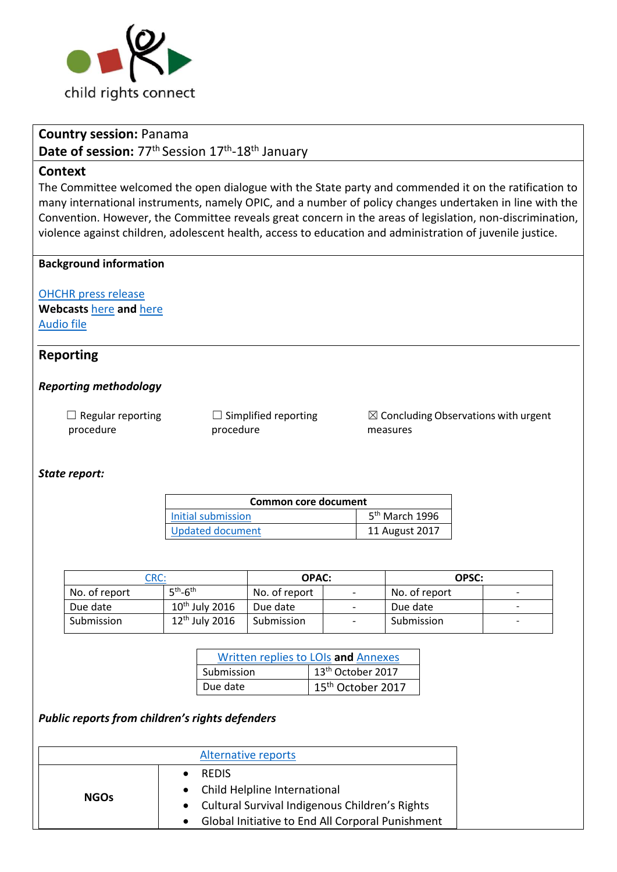

## **Country session:** Panama

**Date of session:** 77<sup>th</sup> Session 17<sup>th</sup>-18<sup>th</sup> January

### **Context**

The Committee welcomed the open dialogue with the State party and commended it on the ratification to many international instruments, namely OPIC, and a number of policy changes undertaken in line with the Convention. However, the Committee reveals great concern in the areas of legislation, non-discrimination, violence against children, adolescent health, access to education and administration of juvenile justice.

### **Background information**

[OHCHR press release](http://www.ohchr.org/EN/NewsEvents/Pages/DisplayNews.aspx?NewsID=22593&LangID=E) **Webcasts** [here](http://webtv.un.org/search/consideration-of-panama-2258th-meeting-77th-session-committee-on-the-rights-of-the-child/5713997176001/?term=panama&sort=date) **and** [here](http://webtv.un.org/search/consideration-of-panama-contd-2259th-meeting-77th-session-committee-on-the-rights-of-the-child/5713997212001/?term=panama&sort=date) [Audio file](https://conf.unog.ch/digitalrecordings/)

## **Reporting**

### *Reporting methodology*

 $\Box$  Regular reporting procedure

 $\Box$  Simplified reporting procedure

 $\boxtimes$  Concluding Observations with urgent measures

#### *State report:*

| Common core document    |                  |  |
|-------------------------|------------------|--|
| Initial submission      | $5th$ March 1996 |  |
| <b>Updated document</b> | 11 August 2017   |  |

| $\mathsf{CRC:}$ |                  | <b>OPAC:</b>  |                              | OPSC:         |  |
|-----------------|------------------|---------------|------------------------------|---------------|--|
| No. of report   | $5th-6th$        | No. of report | $\overline{\phantom{a}}$     | No. of report |  |
| Due date        | $10th$ July 2016 | Due date      | $\overline{\phantom{a}}$     | Due date      |  |
| Submission      | $12th$ July 2016 | Submission    | $\qquad \qquad \blacksquare$ | Submission    |  |

|            | Written replies to LOIs and Annexes |
|------------|-------------------------------------|
| Submission | 13 <sup>th</sup> October 2017       |
| Due date   | 15 <sup>th</sup> October 2017       |

*Public reports from children's rights defenders* 

|             | <b>Alternative reports</b>                         |
|-------------|----------------------------------------------------|
| <b>NGOs</b> | <b>RFDIS</b>                                       |
|             | • Child Helpline International                     |
|             | • Cultural Survival Indigenous Children's Rights   |
|             | • Global Initiative to End All Corporal Punishment |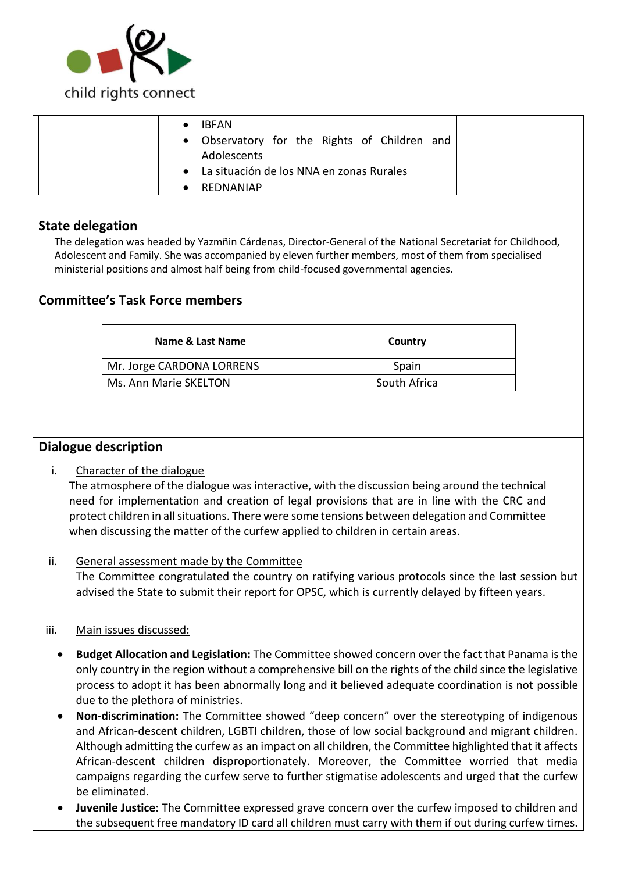

|  | <b>IBFAN</b><br>• Observatory for the Rights of Children and<br><b>Adolescents</b> |  |
|--|------------------------------------------------------------------------------------|--|
|  | • La situación de los NNA en zonas Rurales                                         |  |
|  | REDNANIAP                                                                          |  |

# **State delegation**

The delegation was headed by Yazmñin Cárdenas, Director-General of the National Secretariat for Childhood, Adolescent and Family. She was accompanied by eleven further members, most of them from specialised ministerial positions and almost half being from child-focused governmental agencies.

# **Committee's Task Force members**

| Name & Last Name          | Country      |
|---------------------------|--------------|
| Mr. Jorge CARDONA LORRENS | Spain        |
| Ms. Ann Marie SKELTON     | South Africa |

# **Dialogue description**

i. Character of the dialogue

The atmosphere of the dialogue was interactive, with the discussion being around the technical need for implementation and creation of legal provisions that are in line with the CRC and protect children in all situations. There were some tensions between delegation and Committee when discussing the matter of the curfew applied to children in certain areas.

ii. General assessment made by the Committee The Committee congratulated the country on ratifying various protocols since the last session but advised the State to submit their report for OPSC, which is currently delayed by fifteen years.

### iii. Main issues discussed:

- **Budget Allocation and Legislation:** The Committee showed concern over the fact that Panama is the only country in the region without a comprehensive bill on the rights of the child since the legislative process to adopt it has been abnormally long and it believed adequate coordination is not possible due to the plethora of ministries.
- **Non-discrimination:** The Committee showed "deep concern" over the stereotyping of indigenous and African-descent children, LGBTI children, those of low social background and migrant children. Although admitting the curfew as an impact on all children, the Committee highlighted that it affects African-descent children disproportionately. Moreover, the Committee worried that media campaigns regarding the curfew serve to further stigmatise adolescents and urged that the curfew be eliminated.
- **Juvenile Justice:** The Committee expressed grave concern over the curfew imposed to children and the subsequent free mandatory ID card all children must carry with them if out during curfew times.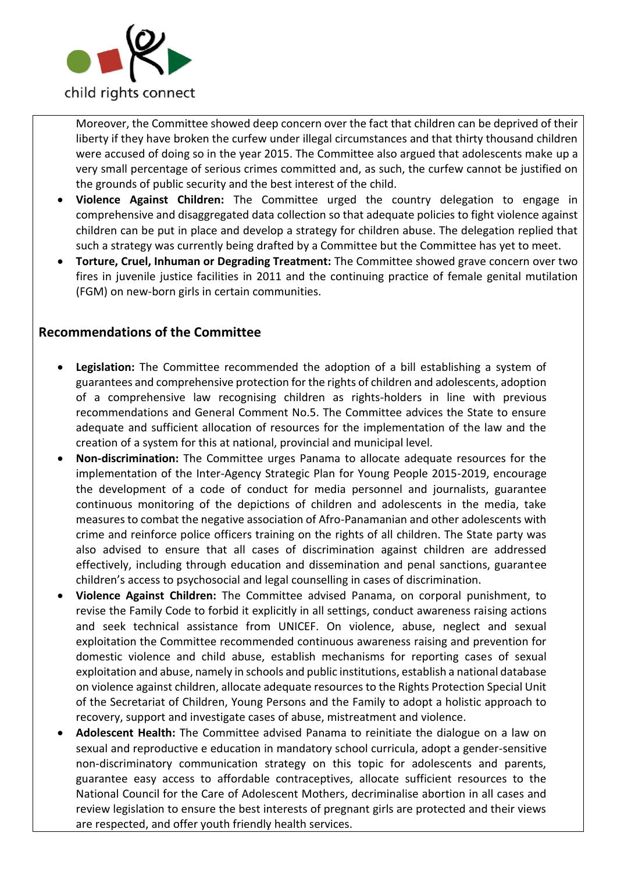

Moreover, the Committee showed deep concern over the fact that children can be deprived of their liberty if they have broken the curfew under illegal circumstances and that thirty thousand children were accused of doing so in the year 2015. The Committee also argued that adolescents make up a very small percentage of serious crimes committed and, as such, the curfew cannot be justified on the grounds of public security and the best interest of the child.

- **Violence Against Children:** The Committee urged the country delegation to engage in comprehensive and disaggregated data collection so that adequate policies to fight violence against children can be put in place and develop a strategy for children abuse. The delegation replied that such a strategy was currently being drafted by a Committee but the Committee has yet to meet.
- **Torture, Cruel, Inhuman or Degrading Treatment:** The Committee showed grave concern over two fires in juvenile justice facilities in 2011 and the continuing practice of female genital mutilation (FGM) on new-born girls in certain communities.

# **Recommendations of the Committee**

- **Legislation:** The Committee recommended the adoption of a bill establishing a system of guarantees and comprehensive protection for the rights of children and adolescents, adoption of a comprehensive law recognising children as rights-holders in line with previous recommendations and General Comment No.5. The Committee advices the State to ensure adequate and sufficient allocation of resources for the implementation of the law and the creation of a system for this at national, provincial and municipal level.
- **Non-discrimination:** The Committee urges Panama to allocate adequate resources for the implementation of the Inter-Agency Strategic Plan for Young People 2015-2019, encourage the development of a code of conduct for media personnel and journalists, guarantee continuous monitoring of the depictions of children and adolescents in the media, take measures to combat the negative association of Afro-Panamanian and other adolescents with crime and reinforce police officers training on the rights of all children. The State party was also advised to ensure that all cases of discrimination against children are addressed effectively, including through education and dissemination and penal sanctions, guarantee children's access to psychosocial and legal counselling in cases of discrimination.
- **Violence Against Children:** The Committee advised Panama, on corporal punishment, to revise the Family Code to forbid it explicitly in all settings, conduct awareness raising actions and seek technical assistance from UNICEF. On violence, abuse, neglect and sexual exploitation the Committee recommended continuous awareness raising and prevention for domestic violence and child abuse, establish mechanisms for reporting cases of sexual exploitation and abuse, namely in schools and public institutions, establish a national database on violence against children, allocate adequate resources to the Rights Protection Special Unit of the Secretariat of Children, Young Persons and the Family to adopt a holistic approach to recovery, support and investigate cases of abuse, mistreatment and violence.
- **Adolescent Health:** The Committee advised Panama to reinitiate the dialogue on a law on sexual and reproductive e education in mandatory school curricula, adopt a gender-sensitive non-discriminatory communication strategy on this topic for adolescents and parents, guarantee easy access to affordable contraceptives, allocate sufficient resources to the National Council for the Care of Adolescent Mothers, decriminalise abortion in all cases and review legislation to ensure the best interests of pregnant girls are protected and their views are respected, and offer youth friendly health services.